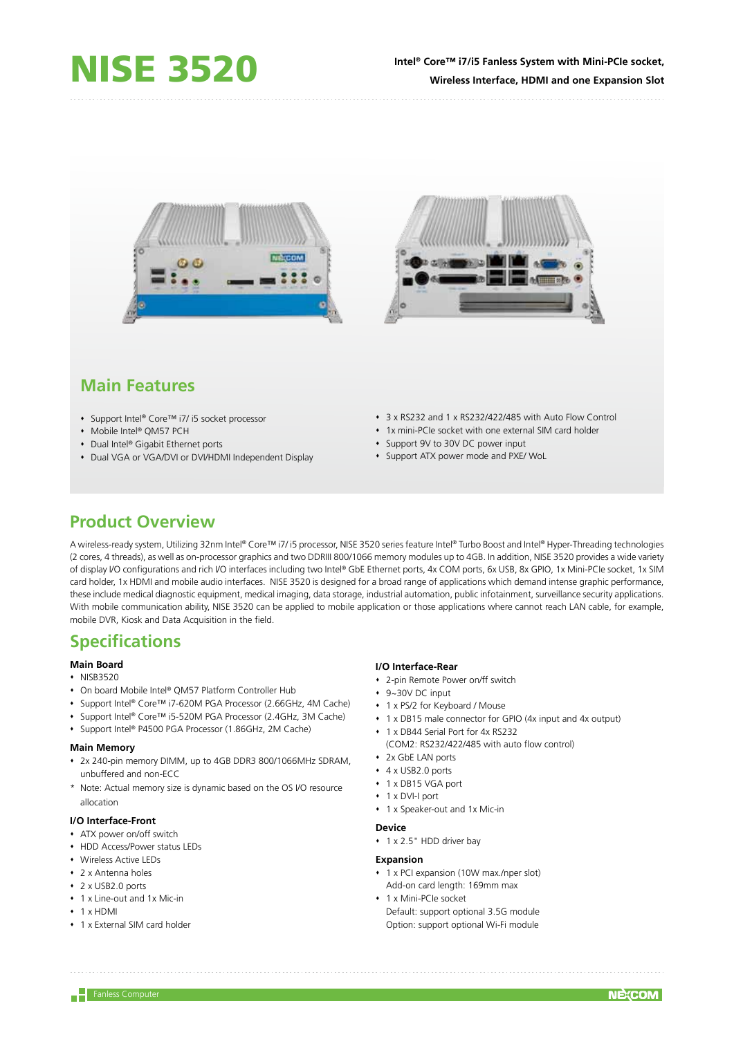## **Intel® Core™ i7/i5 Fanless System with Mini-PCIe socket, Wireless Interface, HDMI and one Expansion Slot**



# **Main Features**

- Support Intel® Core™ i7/ i5 socket processor
- Mobile Intel® QM57 PCH
- ◆ Dual Intel® Gigabit Ethernet ports
- Dual VGA or VGA/DVI or DVI/HDMI Independent Display
- 3 x RS232 and 1 x RS232/422/485 with Auto Flow Control
- 1x mini-PCIe socket with one external SIM card holder
- Support 9V to 30V DC power input
- Support ATX power mode and PXE/ WoL

# **Product Overview**

A wireless-ready system, Utilizing 32nm Intel® Core™ i7/ i5 processor, NISE 3520 series feature Intel® Turbo Boost and Intel® Hyper-Threading technologies (2 cores, 4 threads), as well as on-processor graphics and two DDRIII 800/1066 memory modules up to 4GB. In addition, NISE 3520 provides a wide variety of display I/O configurations and rich I/O interfaces including two Intel® GbE Ethernet ports, 4x COM ports, 6x USB, 8x GPIO, 1x Mini-PCIe socket, 1x SIM card holder, 1x HDMI and mobile audio interfaces. NISE 3520 is designed for a broad range of applications which demand intense graphic performance, these include medical diagnostic equipment, medical imaging, data storage, industrial automation, public infotainment, surveillance security applications. With mobile communication ability, NISE 3520 can be applied to mobile application or those applications where cannot reach LAN cable, for example, mobile DVR, Kiosk and Data Acquisition in the field.

# **Specifications**

#### **Main Board**

- $\cdot$  NISB3520
- On board Mobile Intel® QM57 Platform Controller Hub
- Support Intel® Core™ i7-620M PGA Processor (2.66GHz, 4M Cache)
- Support Intel® Core™ i5-520M PGA Processor (2.4GHz, 3M Cache)
- Support Intel® P4500 PGA Processor (1.86GHz, 2M Cache)

## **Main Memory**

- 2x 240-pin memory DIMM, up to 4GB DDR3 800/1066MHz SDRAM, unbuffered and non-ECC
- \* Note: Actual memory size is dynamic based on the OS I/O resource allocation

#### **I/O Interface-Front**

- ATX power on/off switch
- HDD Access/Power status LEDs
- Wireless Active LEDs
- 2 x Antenna holes
- $\cdot$  2 x USB2.0 ports
- 1 x Line-out and 1x Mic-in
- $+ 1$  x HDMI
- 1 x External SIM card holder

### **I/O Interface-Rear**

- 2-pin Remote Power on/ff switch
- 9~30V DC input
- 1 x PS/2 for Keyboard / Mouse
- 1 x DB15 male connector for GPIO (4x input and 4x output)
- 1 x DB44 Serial Port for 4x RS232 (COM2: RS232/422/485 with auto flow control)
- 2x GbE LAN ports
- 4 x USB2.0 ports
- 1 x DB15 VGA port
- 1 x DVI-I port
- 1 x Speaker-out and 1x Mic-in

#### **Device**

1 x 2.5" HDD driver bay

### **Expansion**

- 1 x PCI expansion (10W max./nper slot) Add-on card length: 169mm max
- 1 x Mini-PCIe socket Default: support optional 3.5G module Option: support optional Wi-Fi module